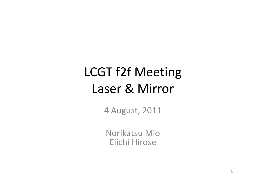# LCGT f2f Meeting Laser & Mirror

4 August, 2011

Norikatsu Mio Eiichi Hirose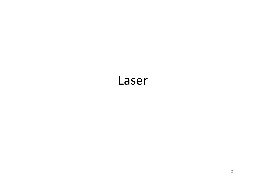#### Laser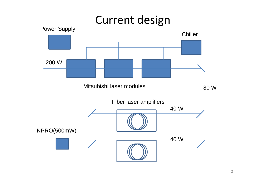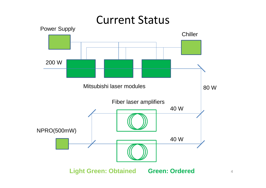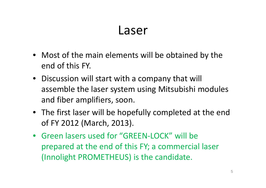#### Laser

- Most of the main elements will be obtained by the end of this FY.
- Discussion will start with a company that will assemble the laser system using Mitsubishi modules and fiber amplifiers, soon.
- The first laser will be hopefully completed at the end of FY 2012 (March, 2013).
- Green lasers used for "GREEN-LOCK" will be prepared at the end of this FY; a commercial laser (Innolight PROMETHEUS) is the candidate.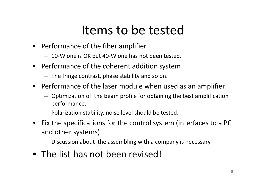### Items to be tested

- Performance of the fiber amplifier
	- 10-W one is OK but 40-W one has not been tested.
- Performance of the coherent addition system
	- The fringe contrast, phase stability and so on.
- Performance of the laser module when used as an amplifier.
	- Optimization of the beam profile for obtaining the best amplification performance.
	- Polarization stability, noise level should be tested.
- Fix the specifications for the control system (interfaces to a PC and other systems)
	- Discussion about the assembling with a company is necessary.
- The list has not been revised!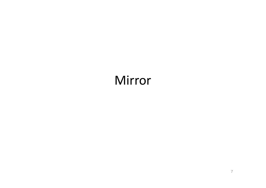## Mirror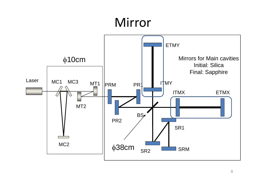## Mirror

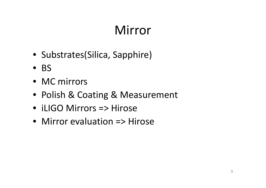# Mirror

- Substrates(Silica, Sapphire)
- BS
- MC mirrors
- Polish & Coating & Measurement
- iLIGO Mirrors => Hirose
- Mirror evaluation => Hirose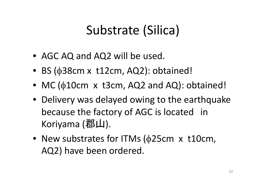## Substrate (Silica)

- AGC AQ and AQ2 will be used.
- BS ( $\phi$ 38cm x t12cm, AQ2): obtained!
- MC ( $\phi$ 10cm x t3cm, AQ2 and AQ): obtained!
- Delivery was delayed owing to the earthquake because the factory of AGC is located in Koriyama  $(\sqrt[3]{2}$ [山].
- New substrates for ITMs ( $\phi$ 25cm x t10cm, AQ2) have been ordered.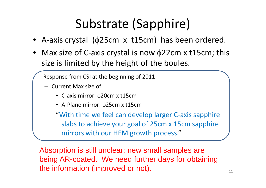# Substrate (Sapphire)

- A-axis crystal ( $\phi$ 25cm x t15cm) has been ordered.
- Max size of C-axis crystal is now  $\phi$ 22cm x t15cm; this size is limited by the height of the boules.

Response from CSI at the beginning of 2011

- Current Max size of
	- C-axis mirror:  $\phi$ 20cm x t15cm
	- A-Plane mirror:  $\phi$ 25cm x t15cm

"With time we feel can develop larger C-axis sapphire slabs to achieve your goal of 25cm x 15cm sapphire mirrors with our HEM growth process."

Absorption is still unclear; new small samples are being AR-coated. We need further days for obtaining the information (improved or not).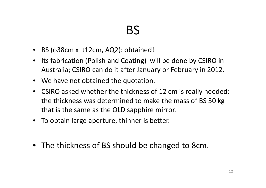## BS

- BS ( $\phi$ 38cm x t12cm, AQ2): obtained!
- Its fabrication (Polish and Coating) will be done by CSIRO in Australia; CSIRO can do it after January or February in 2012.
- We have not obtained the quotation.
- CSIRO asked whether the thickness of 12 cm is really needed; the thickness was determined to make the mass of BS 30 kg that is the same as the OLD sapphire mirror.
- To obtain large aperture, thinner is better.
- The thickness of BS should be changed to 8cm.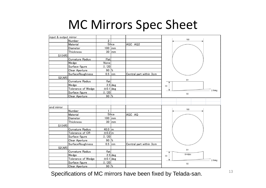#### MC Mirrors Spec Sheet

| input & output mirror |                         |                    |                |                         |                 |
|-----------------------|-------------------------|--------------------|----------------|-------------------------|-----------------|
|                       | Number                  | $\overline{2}$     |                |                         | 100             |
|                       | Material                |                    | Silica         | AGC AQ2                 |                 |
|                       | <b>Diameter</b>         | 100 mm             |                |                         |                 |
|                       | Thickness               |                    | $30$ mm        |                         |                 |
| S1(HR)                |                         |                    |                |                         |                 |
|                       | Curvature Radius        | Flat               |                |                         |                 |
|                       | Wedge                   | None               |                |                         |                 |
|                       | Surface figure          | $\lambda/20$       |                |                         |                 |
|                       | Clear Aperture          | $90\frac{8}{6}$    |                |                         |                 |
|                       | <b>SurfaceRoughness</b> | $0.5$ nm           |                | Central part within 3cm |                 |
| S2(AR)                |                         |                    |                |                         |                 |
|                       | Curvature Radius        | flat               |                |                         | S <sub>1</sub>  |
|                       | Wedge                   |                    | $2.5$ deg      |                         | 30              |
|                       | Tolerance of Wedge      | $±0.1$ deg         |                |                         | $2.5$ deg       |
|                       | Surface figure          | $\lambda/20$       |                |                         | S <sub>2</sub>  |
|                       | Clear Aperture          | $90\frac{8}{6}$    |                |                         |                 |
|                       |                         |                    |                |                         |                 |
|                       |                         |                    |                |                         |                 |
| end mirror            |                         |                    |                |                         |                 |
|                       | Number                  | 1                  |                |                         | 100             |
|                       | Material                |                    | Silica         | AGC AQ                  |                 |
|                       | <b>Diameter</b>         | 100                | mm             |                         |                 |
|                       | Thickness               | 30                 | m <sub>m</sub> |                         |                 |
| S1(HR)                |                         |                    |                |                         |                 |
|                       | Curvature Radius        | 40.0 $\rm{m}$      |                |                         |                 |
|                       | Tolerance of CR         | $\pm$ 0.2 $\rm{m}$ |                |                         |                 |
|                       | Surface figure          | $\lambda/20$       |                |                         |                 |
|                       | Clear Aperture          | 90 $\frac{1}{6}$   |                |                         |                 |
|                       | SurfaceRoughness        | $0.5$ nm           |                | Central part within 3cm |                 |
| S2(AR)                |                         |                    |                |                         |                 |
|                       | Curvature Radius        | flat               |                |                         | S <sub>1</sub>  |
|                       | Wedge                   |                    | $2.5$ deg      |                         | $R = 40m$<br>30 |
|                       | Tolerance of Wedge      | $\pm 0.1$ deg      |                |                         | $2.5$ deg       |
|                       | Surface figure          | $\lambda/20$       |                |                         | S <sub>2</sub>  |
|                       | Clear Aperture          | $90\frac{8}{6}$    |                |                         |                 |
|                       |                         |                    |                |                         |                 |

Specifications of MC mirrors have been fixed by Telada-san.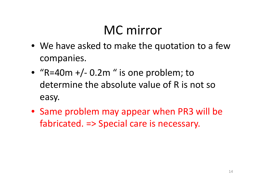## MC mirror

- We have asked to make the quotation to a few companies.
- "R=40m  $+/-$  0.2m" is one problem; to determine the absolute value of R is not so easy.
- Same problem may appear when PR3 will be fabricated. => Special care is necessary.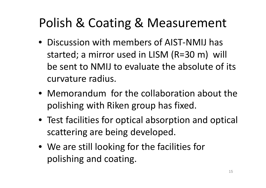## Polish & Coating & Measurement

- Discussion with members of AIST-NMIJ has started; a mirror used in LISM (R=30 m) will be sent to NMIJ to evaluate the absolute of its curvature radius.
- Memorandum for the collaboration about the polishing with Riken group has fixed.
- Test facilities for optical absorption and optical scattering are being developed.
- We are still looking for the facilities for polishing and coating.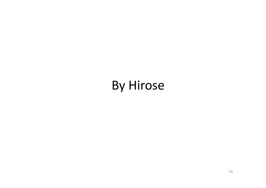### By Hirose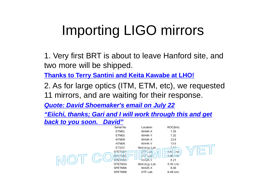# Importing LIGO mirrors

1. Very first BRT is about to leave Hanford site, and two more will be shipped.

**Thanks to Terry Santini and Keita Kawabe at LHO!**

2. As for large optics (ITM, ETM, etc), we requested 11 mirrors, and are waiting for their response.

*Quote: David Shoemaker's email on July 22*

*"Eiichi, thanks; Gari and I will work through this and get back to you soon. David"*